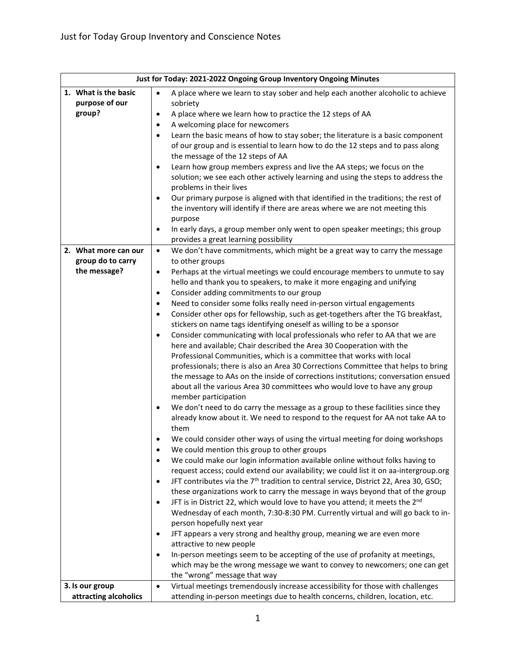| Just for Today: 2021-2022 Ongoing Group Inventory Ongoing Minutes |                                                                                                                      |  |
|-------------------------------------------------------------------|----------------------------------------------------------------------------------------------------------------------|--|
| 1. What is the basic                                              | A place where we learn to stay sober and help each another alcoholic to achieve<br>$\bullet$                         |  |
| purpose of our                                                    | sobriety                                                                                                             |  |
| group?                                                            | A place where we learn how to practice the 12 steps of AA<br>$\bullet$                                               |  |
|                                                                   | A welcoming place for newcomers<br>$\bullet$                                                                         |  |
|                                                                   | Learn the basic means of how to stay sober; the literature is a basic component<br>$\bullet$                         |  |
|                                                                   | of our group and is essential to learn how to do the 12 steps and to pass along                                      |  |
|                                                                   | the message of the 12 steps of AA                                                                                    |  |
|                                                                   | Learn how group members express and live the AA steps; we focus on the<br>$\bullet$                                  |  |
|                                                                   | solution; we see each other actively learning and using the steps to address the                                     |  |
|                                                                   | problems in their lives                                                                                              |  |
|                                                                   | Our primary purpose is aligned with that identified in the traditions; the rest of<br>$\bullet$                      |  |
|                                                                   | the inventory will identify if there are areas where we are not meeting this                                         |  |
|                                                                   | purpose<br>In early days, a group member only went to open speaker meetings; this group<br>$\bullet$                 |  |
|                                                                   | provides a great learning possibility                                                                                |  |
| 2. What more can our                                              | We don't have commitments, which might be a great way to carry the message<br>$\bullet$                              |  |
| group do to carry                                                 | to other groups                                                                                                      |  |
| the message?                                                      | Perhaps at the virtual meetings we could encourage members to unmute to say<br>$\bullet$                             |  |
|                                                                   | hello and thank you to speakers, to make it more engaging and unifying                                               |  |
|                                                                   | Consider adding commitments to our group<br>$\bullet$                                                                |  |
|                                                                   | Need to consider some folks really need in-person virtual engagements<br>$\bullet$                                   |  |
|                                                                   | Consider other ops for fellowship, such as get-togethers after the TG breakfast,<br>$\bullet$                        |  |
|                                                                   | stickers on name tags identifying oneself as willing to be a sponsor                                                 |  |
|                                                                   | Consider communicating with local professionals who refer to AA that we are<br>$\bullet$                             |  |
|                                                                   | here and available; Chair described the Area 30 Cooperation with the                                                 |  |
|                                                                   | Professional Communities, which is a committee that works with local                                                 |  |
|                                                                   | professionals; there is also an Area 30 Corrections Committee that helps to bring                                    |  |
|                                                                   | the message to AAs on the inside of corrections institutions; conversation ensued                                    |  |
|                                                                   | about all the various Area 30 committees who would love to have any group                                            |  |
|                                                                   | member participation<br>We don't need to do carry the message as a group to these facilities since they<br>$\bullet$ |  |
|                                                                   | already know about it. We need to respond to the request for AA not take AA to                                       |  |
|                                                                   | them                                                                                                                 |  |
|                                                                   | We could consider other ways of using the virtual meeting for doing workshops                                        |  |
|                                                                   | We could mention this group to other groups                                                                          |  |
|                                                                   | We could make our login information available online without folks having to<br>$\bullet$                            |  |
|                                                                   | request access; could extend our availability; we could list it on aa-intergroup.org                                 |  |
|                                                                   | JFT contributes via the 7 <sup>th</sup> tradition to central service, District 22, Area 30, GSO;<br>$\bullet$        |  |
|                                                                   | these organizations work to carry the message in ways beyond that of the group                                       |  |
|                                                                   | JFT is in District 22, which would love to have you attend; it meets the 2 <sup>nd</sup><br>$\bullet$                |  |
|                                                                   | Wednesday of each month, 7:30-8:30 PM. Currently virtual and will go back to in-                                     |  |
|                                                                   | person hopefully next year                                                                                           |  |
|                                                                   | JFT appears a very strong and healthy group, meaning we are even more<br>$\bullet$                                   |  |
|                                                                   | attractive to new people                                                                                             |  |
|                                                                   | In-person meetings seem to be accepting of the use of profanity at meetings,<br>$\bullet$                            |  |
|                                                                   | which may be the wrong message we want to convey to newcomers; one can get                                           |  |
|                                                                   | the "wrong" message that way                                                                                         |  |
| 3. Is our group                                                   | Virtual meetings tremendously increase accessibility for those with challenges<br>$\bullet$                          |  |
| attracting alcoholics                                             | attending in-person meetings due to health concerns, children, location, etc.                                        |  |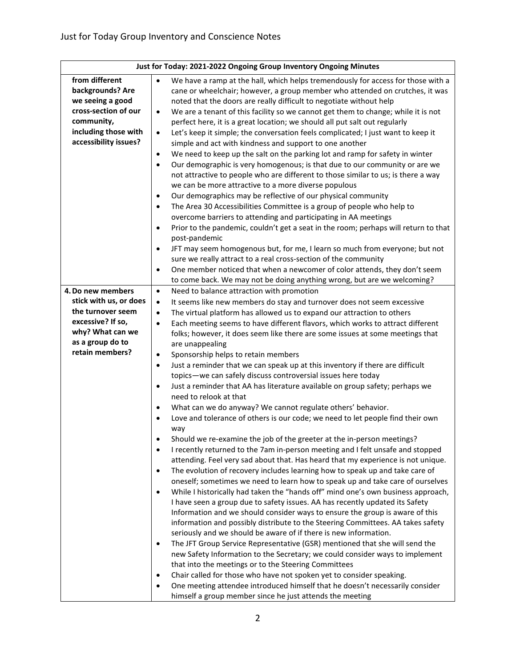| Just for Today: 2021-2022 Ongoing Group Inventory Ongoing Minutes |                                                                                                                                              |  |
|-------------------------------------------------------------------|----------------------------------------------------------------------------------------------------------------------------------------------|--|
| from different                                                    | We have a ramp at the hall, which helps tremendously for access for those with a<br>$\bullet$                                                |  |
| backgrounds? Are                                                  | cane or wheelchair; however, a group member who attended on crutches, it was                                                                 |  |
| we seeing a good                                                  | noted that the doors are really difficult to negotiate without help                                                                          |  |
| cross-section of our                                              | We are a tenant of this facility so we cannot get them to change; while it is not<br>$\bullet$                                               |  |
| community,                                                        | perfect here, it is a great location; we should all put salt out regularly                                                                   |  |
| including those with                                              | Let's keep it simple; the conversation feels complicated; I just want to keep it<br>$\bullet$                                                |  |
| accessibility issues?                                             | simple and act with kindness and support to one another                                                                                      |  |
|                                                                   | We need to keep up the salt on the parking lot and ramp for safety in winter<br>$\bullet$                                                    |  |
|                                                                   | Our demographic is very homogenous; is that due to our community or are we<br>$\bullet$                                                      |  |
|                                                                   | not attractive to people who are different to those similar to us; is there a way                                                            |  |
|                                                                   | we can be more attractive to a more diverse populous                                                                                         |  |
|                                                                   | Our demographics may be reflective of our physical community<br>$\bullet$                                                                    |  |
|                                                                   | The Area 30 Accessibilities Committee is a group of people who help to<br>$\bullet$                                                          |  |
|                                                                   | overcome barriers to attending and participating in AA meetings                                                                              |  |
|                                                                   | Prior to the pandemic, couldn't get a seat in the room; perhaps will return to that<br>$\bullet$                                             |  |
|                                                                   | post-pandemic                                                                                                                                |  |
|                                                                   | JFT may seem homogenous but, for me, I learn so much from everyone; but not<br>$\bullet$                                                     |  |
|                                                                   | sure we really attract to a real cross-section of the community                                                                              |  |
|                                                                   | One member noticed that when a newcomer of color attends, they don't seem<br>$\bullet$                                                       |  |
|                                                                   | to come back. We may not be doing anything wrong, but are we welcoming?                                                                      |  |
| 4. Do new members                                                 | Need to balance attraction with promotion<br>$\bullet$                                                                                       |  |
| stick with us, or does                                            | It seems like new members do stay and turnover does not seem excessive<br>$\bullet$                                                          |  |
| the turnover seem                                                 | The virtual platform has allowed us to expand our attraction to others<br>$\bullet$                                                          |  |
| excessive? If so,                                                 | Each meeting seems to have different flavors, which works to attract different<br>$\bullet$                                                  |  |
| why? What can we                                                  | folks; however, it does seem like there are some issues at some meetings that                                                                |  |
| as a group do to<br>retain members?                               | are unappealing                                                                                                                              |  |
|                                                                   | Sponsorship helps to retain members<br>$\bullet$                                                                                             |  |
|                                                                   | Just a reminder that we can speak up at this inventory if there are difficult<br>$\bullet$                                                   |  |
|                                                                   | topics-we can safely discuss controversial issues here today<br>Just a reminder that AA has literature available on group safety; perhaps we |  |
|                                                                   | $\bullet$<br>need to relook at that                                                                                                          |  |
|                                                                   | What can we do anyway? We cannot regulate others' behavior.<br>$\bullet$                                                                     |  |
|                                                                   | Love and tolerance of others is our code; we need to let people find their own                                                               |  |
|                                                                   | way                                                                                                                                          |  |
|                                                                   | Should we re-examine the job of the greeter at the in-person meetings?                                                                       |  |
|                                                                   | I recently returned to the 7am in-person meeting and I felt unsafe and stopped<br>$\bullet$                                                  |  |
|                                                                   | attending. Feel very sad about that. Has heard that my experience is not unique.                                                             |  |
|                                                                   | The evolution of recovery includes learning how to speak up and take care of<br>$\bullet$                                                    |  |
|                                                                   | oneself; sometimes we need to learn how to speak up and take care of ourselves                                                               |  |
|                                                                   | While I historically had taken the "hands off" mind one's own business approach,<br>$\bullet$                                                |  |
|                                                                   | I have seen a group due to safety issues. AA has recently updated its Safety                                                                 |  |
|                                                                   | Information and we should consider ways to ensure the group is aware of this                                                                 |  |
|                                                                   | information and possibly distribute to the Steering Committees. AA takes safety                                                              |  |
|                                                                   | seriously and we should be aware of if there is new information.                                                                             |  |
|                                                                   | The JFT Group Service Representative (GSR) mentioned that she will send the<br>$\bullet$                                                     |  |
|                                                                   | new Safety Information to the Secretary; we could consider ways to implement                                                                 |  |
|                                                                   | that into the meetings or to the Steering Committees                                                                                         |  |
|                                                                   | Chair called for those who have not spoken yet to consider speaking.<br>٠                                                                    |  |
|                                                                   | One meeting attendee introduced himself that he doesn't necessarily consider<br>٠                                                            |  |
|                                                                   | himself a group member since he just attends the meeting                                                                                     |  |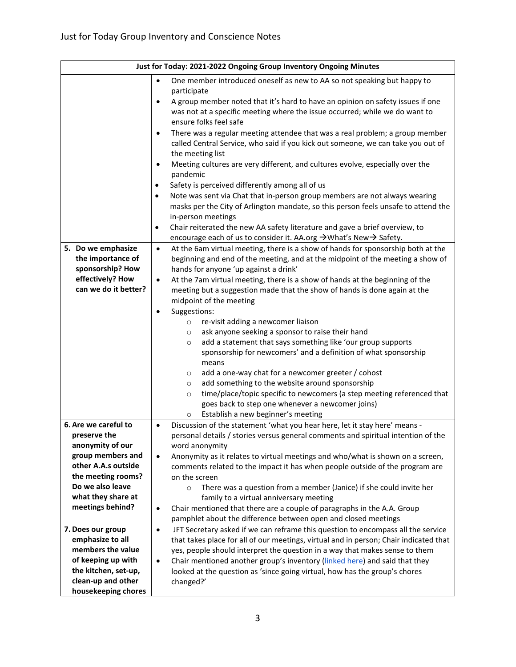| Just for Today: 2021-2022 Ongoing Group Inventory Ongoing Minutes |                                                                                                                                                                        |  |
|-------------------------------------------------------------------|------------------------------------------------------------------------------------------------------------------------------------------------------------------------|--|
|                                                                   | One member introduced oneself as new to AA so not speaking but happy to<br>$\bullet$                                                                                   |  |
|                                                                   | participate                                                                                                                                                            |  |
|                                                                   | A group member noted that it's hard to have an opinion on safety issues if one<br>$\bullet$                                                                            |  |
|                                                                   | was not at a specific meeting where the issue occurred; while we do want to                                                                                            |  |
|                                                                   | ensure folks feel safe                                                                                                                                                 |  |
|                                                                   | There was a regular meeting attendee that was a real problem; a group member<br>$\bullet$                                                                              |  |
|                                                                   | called Central Service, who said if you kick out someone, we can take you out of                                                                                       |  |
|                                                                   | the meeting list                                                                                                                                                       |  |
|                                                                   | Meeting cultures are very different, and cultures evolve, especially over the<br>$\bullet$                                                                             |  |
|                                                                   | pandemic                                                                                                                                                               |  |
|                                                                   | Safety is perceived differently among all of us<br>٠                                                                                                                   |  |
|                                                                   | Note was sent via Chat that in-person group members are not always wearing<br>$\bullet$                                                                                |  |
|                                                                   | masks per the City of Arlington mandate, so this person feels unsafe to attend the                                                                                     |  |
|                                                                   | in-person meetings                                                                                                                                                     |  |
|                                                                   | Chair reiterated the new AA safety literature and gave a brief overview, to<br>$\bullet$                                                                               |  |
|                                                                   | encourage each of us to consider it. AA.org → What's New → Safety.                                                                                                     |  |
| 5. Do we emphasize                                                | At the 6am virtual meeting, there is a show of hands for sponsorship both at the<br>$\bullet$                                                                          |  |
| the importance of                                                 | beginning and end of the meeting, and at the midpoint of the meeting a show of                                                                                         |  |
| sponsorship? How<br>effectively? How                              | hands for anyone 'up against a drink'                                                                                                                                  |  |
| can we do it better?                                              | At the 7am virtual meeting, there is a show of hands at the beginning of the<br>$\bullet$<br>meeting but a suggestion made that the show of hands is done again at the |  |
|                                                                   | midpoint of the meeting                                                                                                                                                |  |
|                                                                   | Suggestions:<br>$\bullet$                                                                                                                                              |  |
|                                                                   | re-visit adding a newcomer liaison<br>$\circ$                                                                                                                          |  |
|                                                                   | ask anyone seeking a sponsor to raise their hand<br>$\circ$                                                                                                            |  |
|                                                                   | add a statement that says something like 'our group supports<br>$\circ$                                                                                                |  |
|                                                                   | sponsorship for newcomers' and a definition of what sponsorship                                                                                                        |  |
|                                                                   | means                                                                                                                                                                  |  |
|                                                                   | add a one-way chat for a newcomer greeter / cohost<br>$\circ$                                                                                                          |  |
|                                                                   | add something to the website around sponsorship<br>$\circ$                                                                                                             |  |
|                                                                   | time/place/topic specific to newcomers (a step meeting referenced that<br>$\circ$                                                                                      |  |
|                                                                   | goes back to step one whenever a newcomer joins)                                                                                                                       |  |
|                                                                   | Establish a new beginner's meeting<br>$\circ$                                                                                                                          |  |
| 6. Are we careful to                                              | Discussion of the statement 'what you hear here, let it stay here' means -<br>$\bullet$                                                                                |  |
| preserve the                                                      | personal details / stories versus general comments and spiritual intention of the                                                                                      |  |
| anonymity of our                                                  | word anonymity                                                                                                                                                         |  |
| group members and<br>other A.A.s outside                          | Anonymity as it relates to virtual meetings and who/what is shown on a screen,<br>$\bullet$                                                                            |  |
| the meeting rooms?                                                | comments related to the impact it has when people outside of the program are                                                                                           |  |
| Do we also leave                                                  | on the screen<br>There was a question from a member (Janice) if she could invite her<br>$\circ$                                                                        |  |
| what they share at                                                | family to a virtual anniversary meeting                                                                                                                                |  |
| meetings behind?                                                  | Chair mentioned that there are a couple of paragraphs in the A.A. Group<br>$\bullet$                                                                                   |  |
|                                                                   | pamphlet about the difference between open and closed meetings                                                                                                         |  |
| 7. Does our group                                                 | JFT Secretary asked if we can reframe this question to encompass all the service<br>$\bullet$                                                                          |  |
| emphasize to all                                                  | that takes place for all of our meetings, virtual and in person; Chair indicated that                                                                                  |  |
| members the value                                                 | yes, people should interpret the question in a way that makes sense to them                                                                                            |  |
| of keeping up with                                                | Chair mentioned another group's inventory (linked here) and said that they<br>$\bullet$                                                                                |  |
| the kitchen, set-up,                                              | looked at the question as 'since going virtual, how has the group's chores                                                                                             |  |
| clean-up and other                                                | changed?'                                                                                                                                                              |  |
| housekeeping chores                                               |                                                                                                                                                                        |  |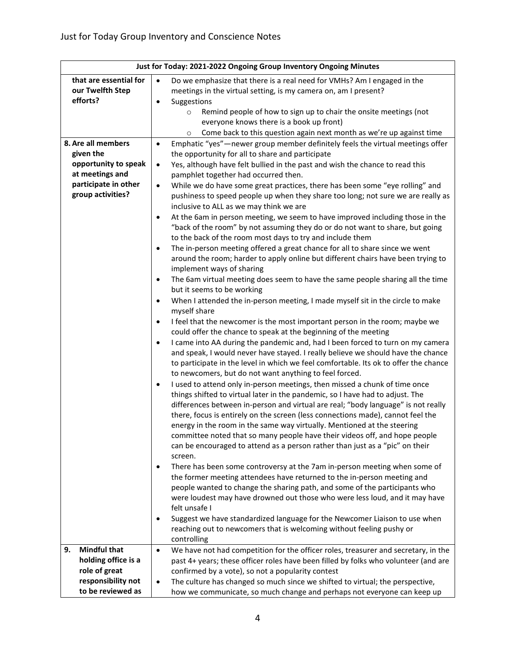| Just for Today: 2021-2022 Ongoing Group Inventory Ongoing Minutes |           |                                                                                                                                                      |
|-------------------------------------------------------------------|-----------|------------------------------------------------------------------------------------------------------------------------------------------------------|
| that are essential for                                            | $\bullet$ | Do we emphasize that there is a real need for VMHs? Am I engaged in the                                                                              |
| our Twelfth Step                                                  |           | meetings in the virtual setting, is my camera on, am I present?                                                                                      |
| efforts?                                                          | $\bullet$ | Suggestions                                                                                                                                          |
|                                                                   |           | Remind people of how to sign up to chair the onsite meetings (not<br>$\circ$                                                                         |
|                                                                   |           | everyone knows there is a book up front)                                                                                                             |
|                                                                   |           | Come back to this question again next month as we're up against time<br>$\circ$                                                                      |
| 8. Are all members                                                | $\bullet$ | Emphatic "yes"-newer group member definitely feels the virtual meetings offer                                                                        |
| given the                                                         |           | the opportunity for all to share and participate                                                                                                     |
| opportunity to speak                                              | $\bullet$ | Yes, although have felt bullied in the past and wish the chance to read this                                                                         |
| at meetings and                                                   |           | pamphlet together had occurred then.                                                                                                                 |
| participate in other                                              | $\bullet$ | While we do have some great practices, there has been some "eye rolling" and                                                                         |
| group activities?                                                 |           | pushiness to speed people up when they share too long; not sure we are really as                                                                     |
|                                                                   |           | inclusive to ALL as we may think we are                                                                                                              |
|                                                                   | $\bullet$ | At the 6am in person meeting, we seem to have improved including those in the                                                                        |
|                                                                   |           | "back of the room" by not assuming they do or do not want to share, but going                                                                        |
|                                                                   |           | to the back of the room most days to try and include them                                                                                            |
|                                                                   | $\bullet$ | The in-person meeting offered a great chance for all to share since we went                                                                          |
|                                                                   |           | around the room; harder to apply online but different chairs have been trying to<br>implement ways of sharing                                        |
|                                                                   | $\bullet$ | The 6am virtual meeting does seem to have the same people sharing all the time                                                                       |
|                                                                   |           | but it seems to be working                                                                                                                           |
|                                                                   | $\bullet$ | When I attended the in-person meeting, I made myself sit in the circle to make                                                                       |
|                                                                   |           | myself share                                                                                                                                         |
|                                                                   | $\bullet$ | I feel that the newcomer is the most important person in the room; maybe we                                                                          |
|                                                                   |           | could offer the chance to speak at the beginning of the meeting                                                                                      |
|                                                                   | $\bullet$ | I came into AA during the pandemic and, had I been forced to turn on my camera                                                                       |
|                                                                   |           | and speak, I would never have stayed. I really believe we should have the chance                                                                     |
|                                                                   |           | to participate in the level in which we feel comfortable. Its ok to offer the chance                                                                 |
|                                                                   |           | to newcomers, but do not want anything to feel forced.                                                                                               |
|                                                                   | ٠         | I used to attend only in-person meetings, then missed a chunk of time once                                                                           |
|                                                                   |           | things shifted to virtual later in the pandemic, so I have had to adjust. The                                                                        |
|                                                                   |           | differences between in-person and virtual are real; "body language" is not really                                                                    |
|                                                                   |           | there, focus is entirely on the screen (less connections made), cannot feel the                                                                      |
|                                                                   |           | energy in the room in the same way virtually. Mentioned at the steering                                                                              |
|                                                                   |           | committee noted that so many people have their videos off, and hope people                                                                           |
|                                                                   |           | can be encouraged to attend as a person rather than just as a "pic" on their                                                                         |
|                                                                   |           | screen.                                                                                                                                              |
|                                                                   | $\bullet$ | There has been some controversy at the 7am in-person meeting when some of<br>the former meeting attendees have returned to the in-person meeting and |
|                                                                   |           | people wanted to change the sharing path, and some of the participants who                                                                           |
|                                                                   |           | were loudest may have drowned out those who were less loud, and it may have                                                                          |
|                                                                   |           | felt unsafe I                                                                                                                                        |
|                                                                   | $\bullet$ | Suggest we have standardized language for the Newcomer Liaison to use when                                                                           |
|                                                                   |           | reaching out to newcomers that is welcoming without feeling pushy or                                                                                 |
|                                                                   |           | controlling                                                                                                                                          |
| <b>Mindful that</b><br>9.                                         | $\bullet$ | We have not had competition for the officer roles, treasurer and secretary, in the                                                                   |
| holding office is a                                               |           | past 4+ years; these officer roles have been filled by folks who volunteer (and are                                                                  |
| role of great                                                     |           | confirmed by a vote), so not a popularity contest                                                                                                    |
| responsibility not                                                | $\bullet$ | The culture has changed so much since we shifted to virtual; the perspective,                                                                        |
| to be reviewed as                                                 |           | how we communicate, so much change and perhaps not everyone can keep up                                                                              |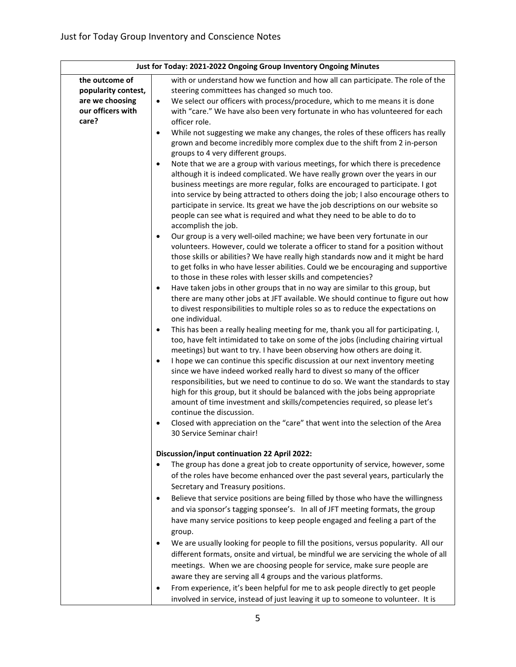| Just for Today: 2021-2022 Ongoing Group Inventory Ongoing Minutes |                                                                                                                                                               |  |
|-------------------------------------------------------------------|---------------------------------------------------------------------------------------------------------------------------------------------------------------|--|
| the outcome of                                                    | with or understand how we function and how all can participate. The role of the                                                                               |  |
| popularity contest,                                               | steering committees has changed so much too.                                                                                                                  |  |
| are we choosing                                                   | We select our officers with process/procedure, which to me means it is done<br>$\bullet$                                                                      |  |
| our officers with                                                 | with "care." We have also been very fortunate in who has volunteered for each                                                                                 |  |
| care?                                                             | officer role.                                                                                                                                                 |  |
|                                                                   | While not suggesting we make any changes, the roles of these officers has really<br>$\bullet$                                                                 |  |
|                                                                   | grown and become incredibly more complex due to the shift from 2 in-person                                                                                    |  |
|                                                                   | groups to 4 very different groups.                                                                                                                            |  |
|                                                                   | Note that we are a group with various meetings, for which there is precedence<br>$\bullet$                                                                    |  |
|                                                                   | although it is indeed complicated. We have really grown over the years in our                                                                                 |  |
|                                                                   | business meetings are more regular, folks are encouraged to participate. I got                                                                                |  |
|                                                                   | into service by being attracted to others doing the job; I also encourage others to                                                                           |  |
|                                                                   | participate in service. Its great we have the job descriptions on our website so                                                                              |  |
|                                                                   | people can see what is required and what they need to be able to do to<br>accomplish the job.                                                                 |  |
|                                                                   | Our group is a very well-oiled machine; we have been very fortunate in our<br>$\bullet$                                                                       |  |
|                                                                   | volunteers. However, could we tolerate a officer to stand for a position without                                                                              |  |
|                                                                   | those skills or abilities? We have really high standards now and it might be hard                                                                             |  |
|                                                                   | to get folks in who have lesser abilities. Could we be encouraging and supportive                                                                             |  |
|                                                                   | to those in these roles with lesser skills and competencies?                                                                                                  |  |
|                                                                   | Have taken jobs in other groups that in no way are similar to this group, but<br>$\bullet$                                                                    |  |
|                                                                   | there are many other jobs at JFT available. We should continue to figure out how                                                                              |  |
|                                                                   | to divest responsibilities to multiple roles so as to reduce the expectations on                                                                              |  |
|                                                                   | one individual.                                                                                                                                               |  |
|                                                                   | This has been a really healing meeting for me, thank you all for participating. I,<br>$\bullet$                                                               |  |
|                                                                   | too, have felt intimidated to take on some of the jobs (including chairing virtual                                                                            |  |
|                                                                   | meetings) but want to try. I have been observing how others are doing it.                                                                                     |  |
|                                                                   | I hope we can continue this specific discussion at our next inventory meeting<br>$\bullet$                                                                    |  |
|                                                                   | since we have indeed worked really hard to divest so many of the officer                                                                                      |  |
|                                                                   | responsibilities, but we need to continue to do so. We want the standards to stay                                                                             |  |
|                                                                   | high for this group, but it should be balanced with the jobs being appropriate<br>amount of time investment and skills/competencies required, so please let's |  |
|                                                                   | continue the discussion.                                                                                                                                      |  |
|                                                                   | Closed with appreciation on the "care" that went into the selection of the Area<br>$\bullet$                                                                  |  |
|                                                                   | 30 Service Seminar chair!                                                                                                                                     |  |
|                                                                   |                                                                                                                                                               |  |
|                                                                   | <b>Discussion/input continuation 22 April 2022:</b>                                                                                                           |  |
|                                                                   | The group has done a great job to create opportunity of service, however, some                                                                                |  |
|                                                                   | of the roles have become enhanced over the past several years, particularly the                                                                               |  |
|                                                                   | Secretary and Treasury positions.                                                                                                                             |  |
|                                                                   | Believe that service positions are being filled by those who have the willingness                                                                             |  |
|                                                                   | and via sponsor's tagging sponsee's. In all of JFT meeting formats, the group                                                                                 |  |
|                                                                   | have many service positions to keep people engaged and feeling a part of the                                                                                  |  |
|                                                                   | group.                                                                                                                                                        |  |
|                                                                   | We are usually looking for people to fill the positions, versus popularity. All our                                                                           |  |
|                                                                   | different formats, onsite and virtual, be mindful we are servicing the whole of all                                                                           |  |
|                                                                   | meetings. When we are choosing people for service, make sure people are                                                                                       |  |
|                                                                   | aware they are serving all 4 groups and the various platforms.                                                                                                |  |
|                                                                   | From experience, it's been helpful for me to ask people directly to get people                                                                                |  |
|                                                                   | involved in service, instead of just leaving it up to someone to volunteer. It is                                                                             |  |
|                                                                   |                                                                                                                                                               |  |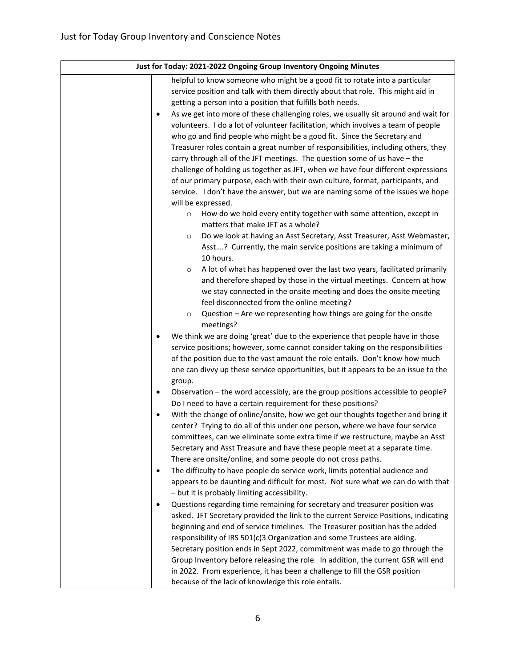| Just for Today: 2021-2022 Ongoing Group Inventory Ongoing Minutes                               |
|-------------------------------------------------------------------------------------------------|
| helpful to know someone who might be a good fit to rotate into a particular                     |
| service position and talk with them directly about that role. This might aid in                 |
| getting a person into a position that fulfills both needs.                                      |
| As we get into more of these challenging roles, we usually sit around and wait for<br>$\bullet$ |
| volunteers. I do a lot of volunteer facilitation, which involves a team of people               |
| who go and find people who might be a good fit. Since the Secretary and                         |
| Treasurer roles contain a great number of responsibilities, including others, they              |
| carry through all of the JFT meetings. The question some of us have - the                       |
| challenge of holding us together as JFT, when we have four different expressions                |
| of our primary purpose, each with their own culture, format, participants, and                  |
| service. I don't have the answer, but we are naming some of the issues we hope                  |
| will be expressed.                                                                              |
| How do we hold every entity together with some attention, except in<br>$\circ$                  |
| matters that make JFT as a whole?                                                               |
| Do we look at having an Asst Secretary, Asst Treasurer, Asst Webmaster,<br>$\circ$              |
| Asst? Currently, the main service positions are taking a minimum of                             |
| 10 hours.                                                                                       |
| A lot of what has happened over the last two years, facilitated primarily<br>$\circ$            |
| and therefore shaped by those in the virtual meetings. Concern at how                           |
| we stay connected in the onsite meeting and does the onsite meeting                             |
| feel disconnected from the online meeting?                                                      |
| Question - Are we representing how things are going for the onsite<br>$\circ$                   |
| meetings?                                                                                       |
| We think we are doing 'great' due to the experience that people have in those<br>$\bullet$      |
| service positions; however, some cannot consider taking on the responsibilities                 |
| of the position due to the vast amount the role entails. Don't know how much                    |
| one can divvy up these service opportunities, but it appears to be an issue to the              |
| group.                                                                                          |
| Observation - the word accessibly, are the group positions accessible to people?<br>$\bullet$   |
| Do I need to have a certain requirement for these positions?                                    |
| With the change of online/onsite, how we get our thoughts together and bring it<br>$\bullet$    |
| center? Trying to do all of this under one person, where we have four service                   |
| committees, can we eliminate some extra time if we restructure, maybe an Asst                   |
| Secretary and Asst Treasure and have these people meet at a separate time.                      |
| There are onsite/online, and some people do not cross paths.                                    |
| The difficulty to have people do service work, limits potential audience and<br>$\bullet$       |
| appears to be daunting and difficult for most. Not sure what we can do with that                |
| - but it is probably limiting accessibility.                                                    |
| Questions regarding time remaining for secretary and treasurer position was<br>$\bullet$        |
| asked. JFT Secretary provided the link to the current Service Positions, indicating             |
| beginning and end of service timelines. The Treasurer position has the added                    |
| responsibility of IRS 501(c)3 Organization and some Trustees are aiding.                        |
| Secretary position ends in Sept 2022, commitment was made to go through the                     |
| Group Inventory before releasing the role. In addition, the current GSR will end                |
| in 2022. From experience, it has been a challenge to fill the GSR position                      |
| because of the lack of knowledge this role entails.                                             |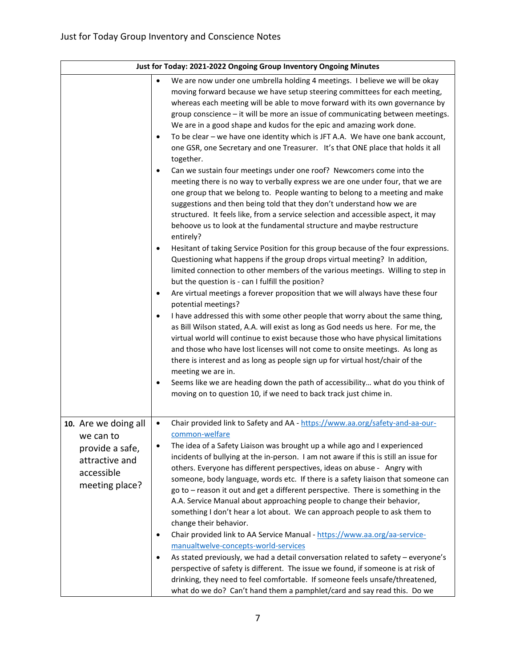| Just for Today: 2021-2022 Ongoing Group Inventory Ongoing Minutes                                      |                                                                                                                                                                                                                                                                                                                                                                                                                                                                                                                                                                                                                                                                                                                                                                                                                                                                                                                                                                                                                                                                                                                                                                                                                                                                                                                                                                                                                                                                                                                                                                                                                                                                                                                                                                                                                                                                                                                                                                                                                                                                                                                                                                                                           |  |
|--------------------------------------------------------------------------------------------------------|-----------------------------------------------------------------------------------------------------------------------------------------------------------------------------------------------------------------------------------------------------------------------------------------------------------------------------------------------------------------------------------------------------------------------------------------------------------------------------------------------------------------------------------------------------------------------------------------------------------------------------------------------------------------------------------------------------------------------------------------------------------------------------------------------------------------------------------------------------------------------------------------------------------------------------------------------------------------------------------------------------------------------------------------------------------------------------------------------------------------------------------------------------------------------------------------------------------------------------------------------------------------------------------------------------------------------------------------------------------------------------------------------------------------------------------------------------------------------------------------------------------------------------------------------------------------------------------------------------------------------------------------------------------------------------------------------------------------------------------------------------------------------------------------------------------------------------------------------------------------------------------------------------------------------------------------------------------------------------------------------------------------------------------------------------------------------------------------------------------------------------------------------------------------------------------------------------------|--|
|                                                                                                        | We are now under one umbrella holding 4 meetings. I believe we will be okay<br>$\bullet$<br>moving forward because we have setup steering committees for each meeting,<br>whereas each meeting will be able to move forward with its own governance by<br>group conscience - it will be more an issue of communicating between meetings.<br>We are in a good shape and kudos for the epic and amazing work done.<br>To be clear - we have one identity which is JFT A.A. We have one bank account,<br>$\bullet$<br>one GSR, one Secretary and one Treasurer. It's that ONE place that holds it all<br>together.<br>Can we sustain four meetings under one roof? Newcomers come into the<br>$\bullet$<br>meeting there is no way to verbally express we are one under four, that we are<br>one group that we belong to. People wanting to belong to a meeting and make<br>suggestions and then being told that they don't understand how we are<br>structured. It feels like, from a service selection and accessible aspect, it may<br>behoove us to look at the fundamental structure and maybe restructure<br>entirely?<br>Hesitant of taking Service Position for this group because of the four expressions.<br>$\bullet$<br>Questioning what happens if the group drops virtual meeting? In addition,<br>limited connection to other members of the various meetings. Willing to step in<br>but the question is - can I fulfill the position?<br>Are virtual meetings a forever proposition that we will always have these four<br>$\bullet$<br>potential meetings?<br>I have addressed this with some other people that worry about the same thing,<br>$\bullet$<br>as Bill Wilson stated, A.A. will exist as long as God needs us here. For me, the<br>virtual world will continue to exist because those who have physical limitations<br>and those who have lost licenses will not come to onsite meetings. As long as<br>there is interest and as long as people sign up for virtual host/chair of the<br>meeting we are in.<br>Seems like we are heading down the path of accessibility what do you think of<br>$\bullet$<br>moving on to question 10, if we need to back track just chime in. |  |
| 10. Are we doing all<br>we can to<br>provide a safe,<br>attractive and<br>accessible<br>meeting place? | Chair provided link to Safety and AA - https://www.aa.org/safety-and-aa-our-<br>$\bullet$<br>common-welfare<br>The idea of a Safety Liaison was brought up a while ago and I experienced<br>$\bullet$<br>incidents of bullying at the in-person. I am not aware if this is still an issue for<br>others. Everyone has different perspectives, ideas on abuse - Angry with<br>someone, body language, words etc. If there is a safety liaison that someone can<br>go to - reason it out and get a different perspective. There is something in the<br>A.A. Service Manual about approaching people to change their behavior,<br>something I don't hear a lot about. We can approach people to ask them to<br>change their behavior.<br>Chair provided link to AA Service Manual - https://www.aa.org/aa-service-<br>$\bullet$<br>manualtwelve-concepts-world-services<br>As stated previously, we had a detail conversation related to safety - everyone's<br>$\bullet$<br>perspective of safety is different. The issue we found, if someone is at risk of<br>drinking, they need to feel comfortable. If someone feels unsafe/threatened,<br>what do we do? Can't hand them a pamphlet/card and say read this. Do we                                                                                                                                                                                                                                                                                                                                                                                                                                                                                                                                                                                                                                                                                                                                                                                                                                                                                                                                                                                     |  |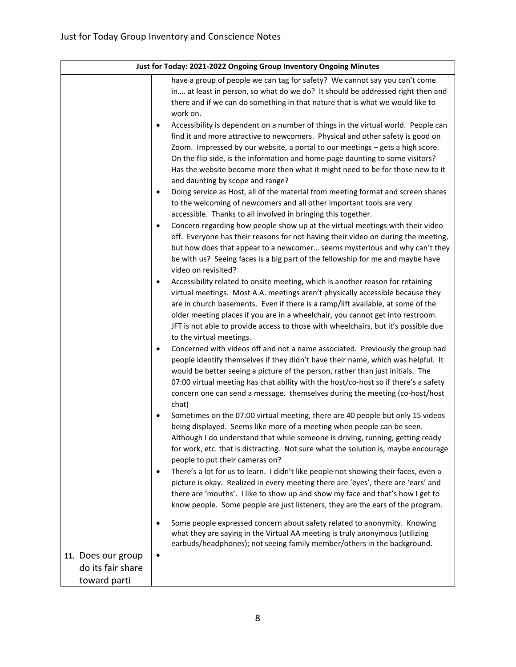| Just for Today: 2021-2022 Ongoing Group Inventory Ongoing Minutes |                                                                                                                                                                      |  |
|-------------------------------------------------------------------|----------------------------------------------------------------------------------------------------------------------------------------------------------------------|--|
|                                                                   | have a group of people we can tag for safety? We cannot say you can't come                                                                                           |  |
|                                                                   | in at least in person, so what do we do? It should be addressed right then and                                                                                       |  |
|                                                                   | there and if we can do something in that nature that is what we would like to                                                                                        |  |
|                                                                   | work on.                                                                                                                                                             |  |
|                                                                   | Accessibility is dependent on a number of things in the virtual world. People can<br>$\bullet$                                                                       |  |
|                                                                   | find it and more attractive to newcomers. Physical and other safety is good on                                                                                       |  |
|                                                                   | Zoom. Impressed by our website, a portal to our meetings - gets a high score.                                                                                        |  |
|                                                                   | On the flip side, is the information and home page daunting to some visitors?                                                                                        |  |
|                                                                   | Has the website become more then what it might need to be for those new to it                                                                                        |  |
|                                                                   | and daunting by scope and range?                                                                                                                                     |  |
|                                                                   | Doing service as Host, all of the material from meeting format and screen shares<br>$\bullet$                                                                        |  |
|                                                                   | to the welcoming of newcomers and all other important tools are very                                                                                                 |  |
|                                                                   | accessible. Thanks to all involved in bringing this together.                                                                                                        |  |
|                                                                   | Concern regarding how people show up at the virtual meetings with their video<br>$\bullet$                                                                           |  |
|                                                                   | off. Everyone has their reasons for not having their video on during the meeting,                                                                                    |  |
|                                                                   | but how does that appear to a newcomer seems mysterious and why can't they                                                                                           |  |
|                                                                   | be with us? Seeing faces is a big part of the fellowship for me and maybe have                                                                                       |  |
|                                                                   | video on revisited?                                                                                                                                                  |  |
|                                                                   | Accessibility related to onsite meeting, which is another reason for retaining<br>$\bullet$                                                                          |  |
|                                                                   | virtual meetings. Most A.A. meetings aren't physically accessible because they                                                                                       |  |
|                                                                   | are in church basements. Even if there is a ramp/lift available, at some of the                                                                                      |  |
|                                                                   | older meeting places if you are in a wheelchair, you cannot get into restroom.                                                                                       |  |
|                                                                   | JFT is not able to provide access to those with wheelchairs, but it's possible due                                                                                   |  |
|                                                                   | to the virtual meetings.                                                                                                                                             |  |
|                                                                   | Concerned with videos off and not a name associated. Previously the group had<br>$\bullet$                                                                           |  |
|                                                                   | people identify themselves if they didn't have their name, which was helpful. It                                                                                     |  |
|                                                                   | would be better seeing a picture of the person, rather than just initials. The                                                                                       |  |
|                                                                   | 07:00 virtual meeting has chat ability with the host/co-host so if there's a safety                                                                                  |  |
|                                                                   | concern one can send a message. themselves during the meeting (co-host/host                                                                                          |  |
|                                                                   | chat)                                                                                                                                                                |  |
|                                                                   | Sometimes on the 07:00 virtual meeting, there are 40 people but only 15 videos<br>$\bullet$                                                                          |  |
|                                                                   | being displayed. Seems like more of a meeting when people can be seen.                                                                                               |  |
|                                                                   | Although I do understand that while someone is driving, running, getting ready<br>for work, etc. that is distracting. Not sure what the solution is, maybe encourage |  |
|                                                                   | people to put their cameras on?                                                                                                                                      |  |
|                                                                   | There's a lot for us to learn. I didn't like people not showing their faces, even a<br>$\bullet$                                                                     |  |
|                                                                   | picture is okay. Realized in every meeting there are 'eyes', there are 'ears' and                                                                                    |  |
|                                                                   | there are 'mouths'. I like to show up and show my face and that's how I get to                                                                                       |  |
|                                                                   | know people. Some people are just listeners, they are the ears of the program.                                                                                       |  |
|                                                                   |                                                                                                                                                                      |  |
|                                                                   | Some people expressed concern about safety related to anonymity. Knowing<br>$\bullet$                                                                                |  |
|                                                                   | what they are saying in the Virtual AA meeting is truly anonymous (utilizing                                                                                         |  |
|                                                                   | earbuds/headphones); not seeing family member/others in the background.                                                                                              |  |
| 11. Does our group                                                | $\bullet$                                                                                                                                                            |  |
| do its fair share                                                 |                                                                                                                                                                      |  |
| toward parti                                                      |                                                                                                                                                                      |  |